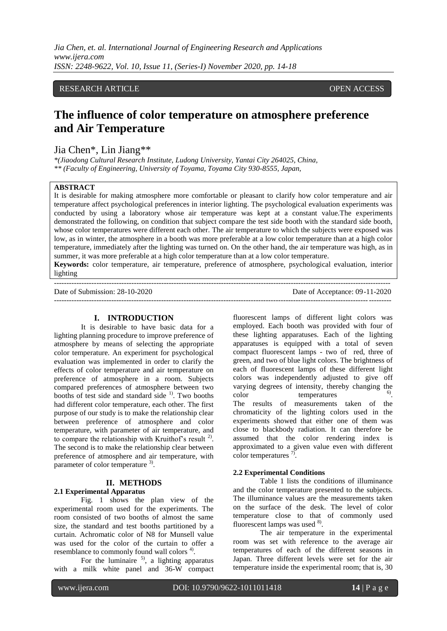*Jia Chen, et. al. International Journal of Engineering Research and Applications www.ijera.com ISSN: 2248-9622, Vol. 10, Issue 11, (Series-I) November 2020, pp. 14-18*

# RESEARCH ARTICLE **CONSERVERS** OPEN ACCESS

# **The influence of color temperature on atmosphere preference and Air Temperature**

# Jia Chen\*, Lin Jiang\*\*

*\*(Jiaodong Cultural Research Institute, Ludong University, Yantai City 264025, China, \*\* (Faculty of Engineering, University of Toyama, Toyama City 930-8555, Japan,*

## **ABSTRACT**

It is desirable for making atmosphere more comfortable or pleasant to clarify how color temperature and air temperature affect psychological preferences in interior lighting. The psychological evaluation experiments was conducted by using a laboratory whose air temperature was kept at a constant value.The experiments demonstrated the following, on condition that subject compare the test side booth with the standard side booth, whose color temperatures were different each other. The air temperature to which the subjects were exposed was low, as in winter, the atmosphere in a booth was more preferable at a low color temperature than at a high color temperature, immediately after the lighting was turned on. On the other hand, the air temperature was high, as in summer, it was more preferable at a high color temperature than at a low color temperature.

**Keywords:** color temperature, air temperature, preference of atmosphere, psychological evaluation, interior lighting ---------------------------------------------------------------------------------------------------------------------------------------

Date of Submission: 28-10-2020 Date of Acceptance: 09-11-2020 ---------------------------------------------------------------------------------------------------------------------------------------

# **I. INTRODUCTION**

It is desirable to have basic data for a lighting planning procedure to improve preference of atmosphere by means of selecting the appropriate color temperature. An experiment for psychological evaluation was implemented in order to clarify the effects of color temperature and air temperature on preference of atmosphere in a room. Subjects compared preferences of atmosphere between two booths of test side and standard side  $<sup>1</sup>$ . Two booths</sup> had different color temperature, each other. The first purpose of our study is to make the relationship clear between preference of atmosphere and color temperature, with parameter of air temperature, and to compare the relationship with Kruithof's result  $2$ ). The second is to make the relationship clear between preference of atmosphere and air temperature, with parameter of color temperature <sup>3)</sup>.

## **II. METHODS**

#### **2.1 Experimental Apparatus**

Fig. 1 shows the plan view of the experimental room used for the experiments. The room consisted of two booths of almost the same size, the standard and test booths partitioned by a curtain. Achromatic color of N8 for Munsell value was used for the color of the curtain to offer a resemblance to commonly found wall colors<sup>4)</sup>.

For the luminaire  $5$ , a lighting apparatus with a milk white panel and 36-W compact

fluorescent lamps of different light colors was employed. Each booth was provided with four of these lighting apparatuses. Each of the lighting apparatuses is equipped with a total of seven compact fluorescent lamps - two of red, three of green, and two of blue light colors. The brightness of each of fluorescent lamps of these different light colors was independently adjusted to give off varying degrees of intensity, thereby changing the color temperatures . The results of measurements taken of the chromaticity of the lighting colors used in the experiments showed that either one of them was close to blackbody radiation. It can therefore be assumed that the color rendering index is approximated to a given value even with different color temperatures  $\frac{7}{2}$ .

#### **2.2 Experimental Conditions**

Table 1 lists the conditions of illuminance and the color temperature presented to the subjects. The illuminance values are the measurements taken on the surface of the desk. The level of color temperature close to that of commonly used fluorescent lamps was used  $8$ .

The air temperature in the experimental room was set with reference to the average air temperatures of each of the different seasons in Japan. Three different levels were set for the air temperature inside the experimental room; that is, 30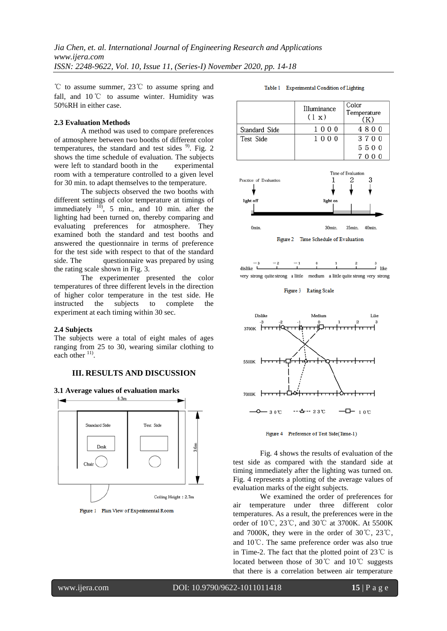℃ to assume summer, 23℃ to assume spring and fall, and 10 ℃ to assume winter. Humidity was 50%RH in either case.

# **2.3 Evaluation Methods**

A method was used to compare preferences of atmosphere between two booths of different color temperatures, the standard and test sides  $9^{\circ}$ . Fig. 2 shows the time schedule of evaluation. The subjects were left to standard booth in the experimental room with a temperature controlled to a given level for 30 min. to adapt themselves to the temperature.

The subjects observed the two booths with different settings of color temperature at timings of immediately  $\frac{10}{10}$ , 5 min., and 10 min. after the lighting had been turned on, thereby comparing and evaluating preferences for atmosphere. They examined both the standard and test booths and answered the questionnaire in terms of preference for the test side with respect to that of the standard side. The questionnaire was prepared by using the rating scale shown in Fig. 3.

The experimenter presented the color temperatures of three different levels in the direction of higher color temperature in the test side. He instructed the subjects to complete the experiment at each timing within 30 sec.

# **2.4 Subjects**

The subjects were a total of eight males of ages ranging from 25 to 30, wearing similar clothing to each other  $11$ .

# **III. RESULTS AND DISCUSSION**









#### Table 1 Experimental Condition of Lighting



Figure 2 Time Schedule of Evaluation

Omin

30<sub>min</sub>

35min.

40min

#### Figure 3 Rating Scale



Figure 4 Preference of Test Side(Time-1)

Fig. 4 shows the results of evaluation of the test side as compared with the standard side at timing immediately after the lighting was turned on. Fig. 4 represents a plotting of the average values of evaluation marks of the eight subjects.

We examined the order of preferences for air temperature under three different color temperatures. As a result, the preferences were in the order of 10℃, 23℃, and 30℃ at 3700K. At 5500K and 7000K, they were in the order of 30℃, 23℃, and 10℃. The same preference order was also true in Time-2. The fact that the plotted point of 23℃ is located between those of 30℃ and 10℃ suggests that there is a correlation between air temperature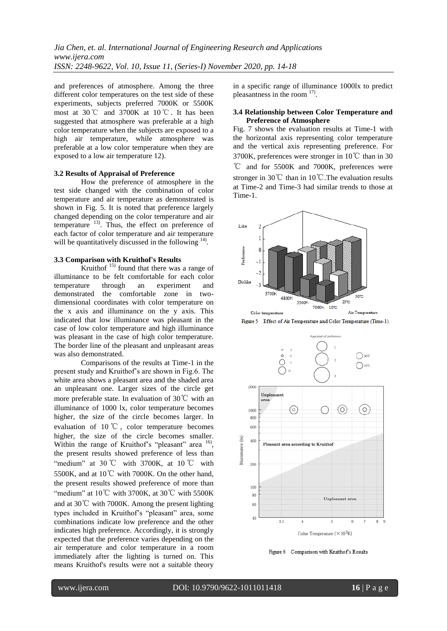and preferences of atmosphere. Among the three different color temperatures on the test side of these experiments, subjects preferred 7000K or 5500K most at 30℃ and 3700K at 10 ℃. It has been suggested that atmosphere was preferable at a high color temperature when the subjects are exposed to a high air temperature, while atmosphere was preferable at a low color temperature when they are exposed to a low air temperature 12).

#### **3.2 Results of Appraisal of Preference**

How the preference of atmosphere in the test side changed with the combination of color temperature and air temperature as demonstrated is shown in Fig. 5. It is noted that preference largely changed depending on the color temperature and air temperature  $13$ . Thus, the effect on preference of each factor of color temperature and air temperature will be quantitatively discussed in the following  $14$ .

# **3.3 Comparison with Kruithof's Results**

Kruithof  $15$ ) found that there was a range of illuminance to be felt comfortable for each color temperature through an experiment and demonstrated the comfortable zone in twodimensional coordinates with color temperature on the x axis and illuminance on the y axis. This indicated that low illuminance was pleasant in the case of low color temperature and high illuminance was pleasant in the case of high color temperature. The border line of the pleasant and unpleasant areas was also demonstrated.

Comparisons of the results at Time-1 in the present study and Kruithof's are shown in Fig.6. The white area shows a pleasant area and the shaded area an unpleasant one. Larger sizes of the circle get more preferable state. In evaluation of 30℃ with an illuminance of 1000 lx, color temperature becomes higher, the size of the circle becomes larger. In evaluation of 10 ℃ , color temperature becomes higher, the size of the circle becomes smaller. Within the range of Kruithof's "pleasant" area <sup>16</sup>, the present results showed preference of less than "medium" at  $30^{\circ}$ C with  $3700$ K, at  $10^{\circ}$ C with 5500K, and at 10℃ with 7000K. On the other hand, the present results showed preference of more than "medium" at  $10^{\circ}$ C with 3700K, at 30 $^{\circ}$ C with 5500K and at 30℃ with 7000K. Among the present lighting types included in Kruithof's "pleasant" area, some combinations indicate low preference and the other indicates high preference. Accordingly, it is strongly expected that the preference varies depending on the air temperature and color temperature in a room immediately after the lighting is turned on. This means Kruithof's results were not a suitable theory

in a specific range of illuminance 1000lx to predict pleasantness in the room  $17$ .

#### **3.4 Relationship between Color Temperature and Preference of Atmosphere**

Fig. 7 shows the evaluation results at Time-1 with the horizontal axis representing color temperature and the vertical axis representing preference. For 3700K, preferences were stronger in 10℃ than in 30 ℃ and for 5500K and 7000K, preferences were stronger in 30℃ than in 10℃.The evaluation results at Time-2 and Time-3 had similar trends to those at Time-1.



 $\label{eq:1} \textbf{Figure 5} \quad \textbf{Effect of Air Temperature and Color Temperature (Time-1)}$ 



Figure 6 Comparison with Kruithof's Results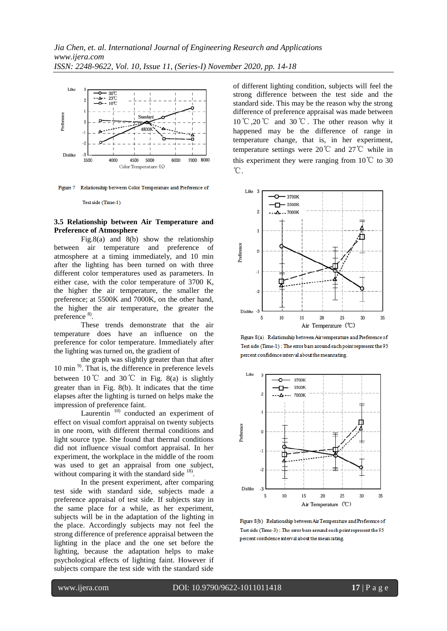

Figure 7 Relationship between Color Temperature and Preference of

Test side (Time-1)

## **3.5 Relationship between Air Temperature and Preference of Atmosphere**

Fig.8(a) and 8(b) show the relationship between air temperature and preference of atmosphere at a timing immediately, and 10 min after the lighting has been turned on with three different color temperatures used as parameters. In either case, with the color temperature of 3700 K, the higher the air temperature, the smaller the preference; at 5500K and 7000K, on the other hand, the higher the air temperature, the greater the preference 8).

These trends demonstrate that the air temperature does have an influence on the preference for color temperature. Immediately after the lighting was turned on, the gradient of

the graph was slightly greater than that after 10 min<sup>9)</sup>. That is, the difference in preference levels between 10℃ and 30℃ in Fig. 8(a) is slightly greater than in Fig. 8(b). It indicates that the time elapses after the lighting is turned on helps make the impression of preference faint.

Laurentin  $10$ ) conducted an experiment of effect on visual comfort appraisal on twenty subjects in one room, with different thermal conditions and light source type. She found that thermal conditions did not influence visual comfort appraisal. In her experiment, the workplace in the middle of the room was used to get an appraisal from one subject, without comparing it with the standard side <sup>18)</sup>.

In the present experiment, after comparing test side with standard side, subjects made a preference appraisal of test side. If subjects stay in the same place for a while, as her experiment, subjects will be in the adaptation of the lighting in the place. Accordingly subjects may not feel the strong difference of preference appraisal between the lighting in the place and the one set before the lighting, because the adaptation helps to make psychological effects of lighting faint. However if subjects compare the test side with the standard side

of different lighting condition, subjects will feel the strong difference between the test side and the standard side. This may be the reason why the strong difference of preference appraisal was made between 10℃,20℃ and 30℃. The other reason why it happened may be the difference of range in temperature change, that is, in her experiment, temperature settings were 20℃ and 27℃ while in this experiment they were ranging from  $10^{\circ}$  to 30 ℃.



Figure 8(a) Relationship between Air temperature and Preference of Test side (Time-1): The error bars around each point represent the 95 percent confidence interval about the mean rating.



Figure 8(b) Relationship between Air Temperature and Preference of Test side (Time-3): The error bars around each point represent the 95 percent confidence interval about the mean rating.